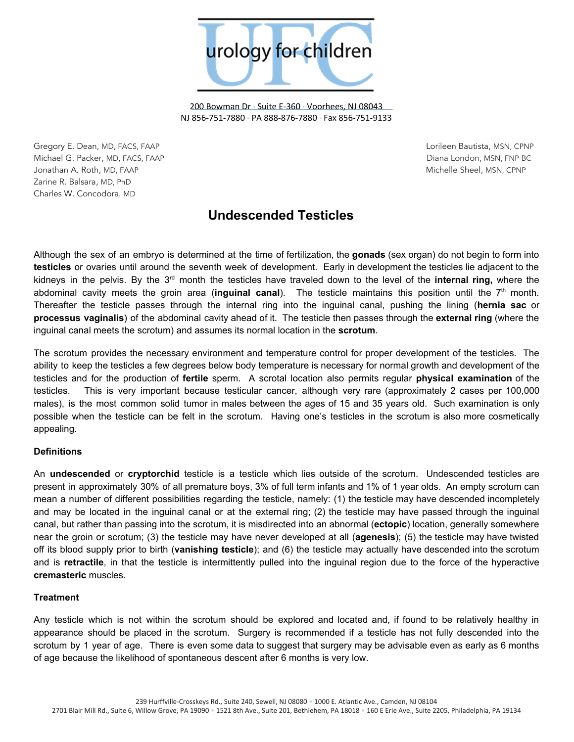

200 Bowman Dr • Suite E-360 • Voorhees, NJ 08043 NJ 856-751-7880 • PA 888-876-7880 • Fax 856-751-9133

Gregory E. Dean, MD, FACS, FAAP Lorileen Bautista, MSN, CPNP Michael G. Packer, MD, FACS, FAAP Diana London, MSN, FNP-BC Jonathan A. Roth, MD, FAAP Michelle Sheel, MSN, CPNP Zarine R. Balsara, MD, PhD Charles W. Concodora, MD

# **Undescended Testicles**

Although the sex of an embryo is determined at the time of fertilization, the **gonads** (sex organ) do not begin to form into **testicles** or ovaries until around the seventh week of development. Early in development the testicles lie adjacent to the kidneys in the pelvis. By the 3<sup>rd</sup> month the testicles have traveled down to the level of the internal ring, where the abdominal cavity meets the groin area (**inguinal canal**). The testicle maintains this position until the 7 th month. Thereafter the testicle passes through the internal ring into the inguinal canal, pushing the lining (**hernia sac** or **processus vaginalis**) of the abdominal cavity ahead of it. The testicle then passes through the **external ring** (where the inguinal canal meets the scrotum) and assumes its normal location in the **scrotum**.

The scrotum provides the necessary environment and temperature control for proper development of the testicles. The ability to keep the testicles a few degrees below body temperature is necessary for normal growth and development of the testicles and for the production of **fertile** sperm. A scrotal location also permits regular **physical examination** of the testicles. This is very important because testicular cancer, although very rare (approximately 2 cases per 100,000 males), is the most common solid tumor in males between the ages of 15 and 35 years old. Such examination is only possible when the testicle can be felt in the scrotum. Having one's testicles in the scrotum is also more cosmetically appealing.

## **Definitions**

An **undescended** or **cryptorchid** testicle is a testicle which lies outside of the scrotum. Undescended testicles are present in approximately 30% of all premature boys, 3% of full term infants and 1% of 1 year olds. An empty scrotum can mean a number of different possibilities regarding the testicle, namely: (1) the testicle may have descended incompletely and may be located in the inguinal canal or at the external ring; (2) the testicle may have passed through the inguinal canal, but rather than passing into the scrotum, it is misdirected into an abnormal (**ectopic**) location, generally somewhere near the groin or scrotum; (3) the testicle may have never developed at all (**agenesis**); (5) the testicle may have twisted off its blood supply prior to birth (**vanishing testicle**); and (6) the testicle may actually have descended into the scrotum and is **retractile**, in that the testicle is intermittently pulled into the inguinal region due to the force of the hyperactive **cremasteric** muscles.

## **Treatment**

Any testicle which is not within the scrotum should be explored and located and, if found to be relatively healthy in appearance should be placed in the scrotum. Surgery is recommended if a testicle has not fully descended into the scrotum by 1 year of age. There is even some data to suggest that surgery may be advisable even as early as 6 months of age because the likelihood of spontaneous descent after 6 months is very low.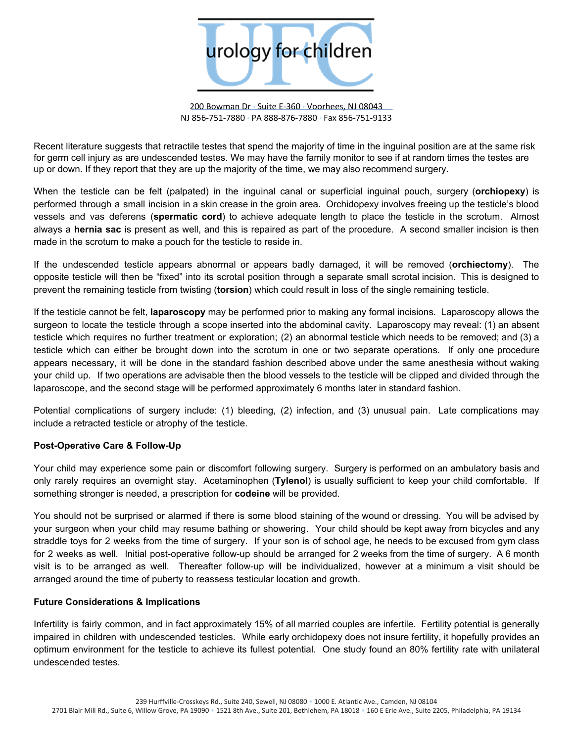

200 Bowman Dr • Suite E-360 • Voorhees, NJ 08043 NJ 856-751-7880 • PA 888-876-7880 • Fax 856-751-9133

Recent literature suggests that retractile testes that spend the majority of time in the inguinal position are at the same risk for germ cell injury as are undescended testes. We may have the family monitor to see if at random times the testes are up or down. If they report that they are up the majority of the time, we may also recommend surgery.

When the testicle can be felt (palpated) in the inguinal canal or superficial inguinal pouch, surgery (**orchiopexy**) is performed through a small incision in a skin crease in the groin area. Orchidopexy involves freeing up the testicle's blood vessels and vas deferens (**spermatic cord**) to achieve adequate length to place the testicle in the scrotum. Almost always a **hernia sac** is present as well, and this is repaired as part of the procedure. A second smaller incision is then made in the scrotum to make a pouch for the testicle to reside in.

If the undescended testicle appears abnormal or appears badly damaged, it will be removed (**orchiectomy**). The opposite testicle will then be "fixed" into its scrotal position through a separate small scrotal incision. This is designed to prevent the remaining testicle from twisting (**torsion**) which could result in loss of the single remaining testicle.

If the testicle cannot be felt, **laparoscopy** may be performed prior to making any formal incisions. Laparoscopy allows the surgeon to locate the testicle through a scope inserted into the abdominal cavity. Laparoscopy may reveal: (1) an absent testicle which requires no further treatment or exploration; (2) an abnormal testicle which needs to be removed; and (3) a testicle which can either be brought down into the scrotum in one or two separate operations. If only one procedure appears necessary, it will be done in the standard fashion described above under the same anesthesia without waking your child up. If two operations are advisable then the blood vessels to the testicle will be clipped and divided through the laparoscope, and the second stage will be performed approximately 6 months later in standard fashion.

Potential complications of surgery include: (1) bleeding, (2) infection, and (3) unusual pain. Late complications may include a retracted testicle or atrophy of the testicle.

## **Post-Operative Care & Follow-Up**

Your child may experience some pain or discomfort following surgery. Surgery is performed on an ambulatory basis and only rarely requires an overnight stay. Acetaminophen (**Tylenol**) is usually sufficient to keep your child comfortable. If something stronger is needed, a prescription for **codeine** will be provided.

You should not be surprised or alarmed if there is some blood staining of the wound or dressing. You will be advised by your surgeon when your child may resume bathing or showering. Your child should be kept away from bicycles and any straddle toys for 2 weeks from the time of surgery. If your son is of school age, he needs to be excused from gym class for 2 weeks as well. Initial post-operative follow-up should be arranged for 2 weeks from the time of surgery. A 6 month visit is to be arranged as well. Thereafter follow-up will be individualized, however at a minimum a visit should be arranged around the time of puberty to reassess testicular location and growth.

### **Future Considerations & Implications**

Infertility is fairly common, and in fact approximately 15% of all married couples are infertile. Fertility potential is generally impaired in children with undescended testicles. While early orchidopexy does not insure fertility, it hopefully provides an optimum environment for the testicle to achieve its fullest potential. One study found an 80% fertility rate with unilateral undescended testes.